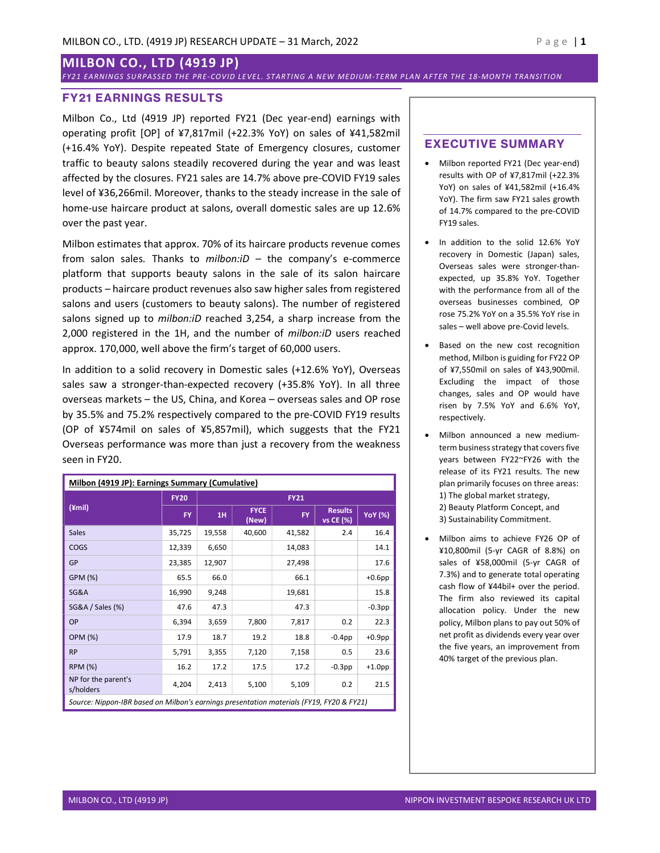# MILBON CO., LTD (4919 JP)

FY21 EARNINGS SURPASSED THE PRE- COVID LEVEL. STARTING A NEW MEDIUM-TERM PLAN AFTER THE 18-MONTH TRANSITION

## FY21 EARNINGS RESULTS

Milbon Co., Ltd (4919 JP) reported FY21 (Dec year-end) earnings with operating profit [OP] of ¥7,817mil (+22.3% YoY) on sales of ¥41,582mil (+16.4% YoY). Despite repeated State of Emergency closures, customer traffic to beauty salons steadily recovered during the year and was least affected by the closures. FY21 sales are 14.7% above pre-COVID FY19 sales level of ¥36,266mil. Moreover, thanks to the steady increase in the sale of home-use haircare product at salons, overall domestic sales are up 12.6% over the past year.

Milbon estimates that approx. 70% of its haircare products revenue comes from salon sales. Thanks to  $milbon:iD -$  the company's e-commerce platform that supports beauty salons in the sale of its salon haircare products – haircare product revenues also saw higher sales from registered salons and users (customers to beauty salons). The number of registered salons signed up to *milbon:iD* reached 3,254, a sharp increase from the 2,000 registered in the 1H, and the number of milbon:iD users reached approx. 170,000, well above the firm's target of 60,000 users.

In addition to a solid recovery in Domestic sales (+12.6% YoY), Overseas sales saw a stronger-than-expected recovery (+35.8% YoY). In all three overseas markets – the US, China, and Korea – overseas sales and OP rose by 35.5% and 75.2% respectively compared to the pre-COVID FY19 results (OP of ¥574mil on sales of ¥5,857mil), which suggests that the FY21 Overseas performance was more than just a recovery from the weakness seen in FY20.

| Milbon (4919 JP): Earnings Summary (Cumulative)                                          |             |             |                      |           |                             |                |
|------------------------------------------------------------------------------------------|-------------|-------------|----------------------|-----------|-----------------------------|----------------|
| $(\text{ymin})$                                                                          | <b>FY20</b> | <b>FY21</b> |                      |           |                             |                |
|                                                                                          | <b>FY</b>   | 1H          | <b>FYCE</b><br>(New) | <b>FY</b> | <b>Results</b><br>vs CE (%) | <b>YoY</b> (%) |
| <b>Sales</b>                                                                             | 35,725      | 19,558      | 40,600               | 41,582    | 2.4                         | 16.4           |
| <b>COGS</b>                                                                              | 12,339      | 6,650       |                      | 14,083    |                             | 14.1           |
| GP                                                                                       | 23,385      | 12,907      |                      | 27,498    |                             | 17.6           |
| GPM (%)                                                                                  | 65.5        | 66.0        |                      | 66.1      |                             | $+0.6$ pp      |
| SG&A                                                                                     | 16,990      | 9,248       |                      | 19,681    |                             | 15.8           |
| <b>SG&amp;A / Sales (%)</b>                                                              | 47.6        | 47.3        |                      | 47.3      |                             | $-0.3$ pp      |
| OP                                                                                       | 6,394       | 3,659       | 7,800                | 7,817     | 0.2                         | 22.3           |
| <b>OPM (%)</b>                                                                           | 17.9        | 18.7        | 19.2                 | 18.8      | $-0.4$ pp                   | $+0.9$ pp      |
| <b>RP</b>                                                                                | 5,791       | 3,355       | 7,120                | 7,158     | 0.5                         | 23.6           |
| <b>RPM (%)</b>                                                                           | 16.2        | 17.2        | 17.5                 | 17.2      | $-0.3$ pp                   | $+1.0$ pp      |
| NP for the parent's<br>s/holders                                                         | 4,204       | 2,413       | 5,100                | 5,109     | 0.2                         | 21.5           |
| Source: Nippon-IBR based on Milbon's earnings presentation materials (FY19, FY20 & FY21) |             |             |                      |           |                             |                |

# EXECUTIVE SUMMARY

- Milbon reported FY21 (Dec year-end) results with OP of ¥7,817mil (+22.3% YoY) on sales of ¥41,582mil (+16.4% YoY). The firm saw FY21 sales growth of 14.7% compared to the pre-COVID FY19 sales.
- In addition to the solid 12.6% YoY recovery in Domestic (Japan) sales, Overseas sales were stronger-thanexpected, up 35.8% YoY. Together with the performance from all of the overseas businesses combined, OP rose 75.2% YoY on a 35.5% YoY rise in sales – well above pre-Covid levels.
- Based on the new cost recognition method, Milbon is guiding for FY22 OP of ¥7,550mil on sales of ¥43,900mil. Excluding the impact of those changes, sales and OP would have risen by 7.5% YoY and 6.6% YoY, respectively.
- Milbon announced a new mediumterm business strategy that covers five years between FY22~FY26 with the release of its FY21 results. The new plan primarily focuses on three areas: 1) The global market strategy, 2) Beauty Platform Concept, and 3) Sustainability Commitment.
- Milbon aims to achieve FY26 OP of ¥10,800mil (5-yr CAGR of 8.8%) on sales of ¥58,000mil (5-yr CAGR of 7.3%) and to generate total operating cash flow of ¥44bil+ over the period. The firm also reviewed its capital allocation policy. Under the new policy, Milbon plans to pay out 50% of net profit as dividends every year over the five years, an improvement from 40% target of the previous plan.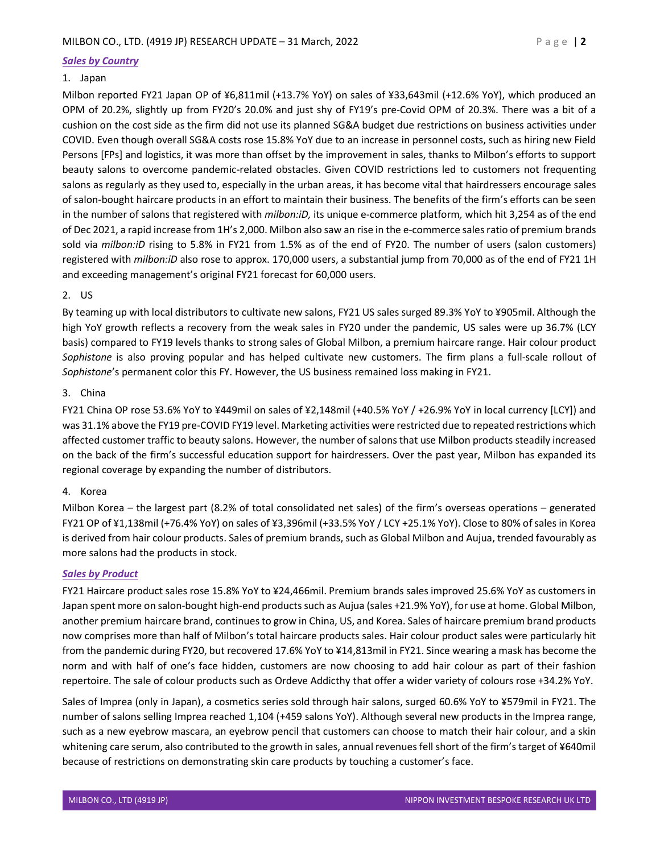## Sales by Country

## 1. Japan

Milbon reported FY21 Japan OP of ¥6,811mil (+13.7% YoY) on sales of ¥33,643mil (+12.6% YoY), which produced an OPM of 20.2%, slightly up from FY20's 20.0% and just shy of FY19's pre-Covid OPM of 20.3%. There was a bit of a cushion on the cost side as the firm did not use its planned SG&A budget due restrictions on business activities under COVID. Even though overall SG&A costs rose 15.8% YoY due to an increase in personnel costs, such as hiring new Field Persons [FPs] and logistics, it was more than offset by the improvement in sales, thanks to Milbon's efforts to support beauty salons to overcome pandemic-related obstacles. Given COVID restrictions led to customers not frequenting salons as regularly as they used to, especially in the urban areas, it has become vital that hairdressers encourage sales of salon-bought haircare products in an effort to maintain their business. The benefits of the firm's efforts can be seen in the number of salons that registered with *milbon:iD*, its unique e-commerce platform, which hit 3,254 as of the end of Dec 2021, a rapid increase from 1H's 2,000. Milbon also saw an rise in the e-commerce sales ratio of premium brands sold via milbon:iD rising to 5.8% in FY21 from 1.5% as of the end of FY20. The number of users (salon customers) registered with milbon:iD also rose to approx. 170,000 users, a substantial jump from 70,000 as of the end of FY21 1H and exceeding management's original FY21 forecast for 60,000 users.

## 2. US

By teaming up with local distributors to cultivate new salons, FY21 US sales surged 89.3% YoY to ¥905mil. Although the high YoY growth reflects a recovery from the weak sales in FY20 under the pandemic, US sales were up 36.7% (LCY basis) compared to FY19 levels thanks to strong sales of Global Milbon, a premium haircare range. Hair colour product Sophistone is also proving popular and has helped cultivate new customers. The firm plans a full-scale rollout of Sophistone's permanent color this FY. However, the US business remained loss making in FY21.

## 3. China

FY21 China OP rose 53.6% YoY to ¥449mil on sales of ¥2,148mil (+40.5% YoY / +26.9% YoY in local currency [LCY]) and was 31.1% above the FY19 pre-COVID FY19 level. Marketing activities were restricted due to repeated restrictions which affected customer traffic to beauty salons. However, the number of salons that use Milbon products steadily increased on the back of the firm's successful education support for hairdressers. Over the past year, Milbon has expanded its regional coverage by expanding the number of distributors.

#### 4. Korea

Milbon Korea – the largest part (8.2% of total consolidated net sales) of the firm's overseas operations – generated FY21 OP of ¥1,138mil (+76.4% YoY) on sales of ¥3,396mil (+33.5% YoY / LCY +25.1% YoY). Close to 80% of sales in Korea is derived from hair colour products. Sales of premium brands, such as Global Milbon and Aujua, trended favourably as more salons had the products in stock.

#### Sales by Product

FY21 Haircare product sales rose 15.8% YoY to ¥24,466mil. Premium brands sales improved 25.6% YoY as customers in Japan spent more on salon-bought high-end products such as Aujua (sales +21.9% YoY), for use at home. Global Milbon, another premium haircare brand, continues to grow in China, US, and Korea. Sales of haircare premium brand products now comprises more than half of Milbon's total haircare products sales. Hair colour product sales were particularly hit from the pandemic during FY20, but recovered 17.6% YoY to ¥14,813mil in FY21. Since wearing a mask has become the norm and with half of one's face hidden, customers are now choosing to add hair colour as part of their fashion repertoire. The sale of colour products such as Ordeve Addicthy that offer a wider variety of colours rose +34.2% YoY.

Sales of Imprea (only in Japan), a cosmetics series sold through hair salons, surged 60.6% YoY to ¥579mil in FY21. The number of salons selling Imprea reached 1,104 (+459 salons YoY). Although several new products in the Imprea range, such as a new eyebrow mascara, an eyebrow pencil that customers can choose to match their hair colour, and a skin whitening care serum, also contributed to the growth in sales, annual revenues fell short of the firm's target of ¥640mil because of restrictions on demonstrating skin care products by touching a customer's face.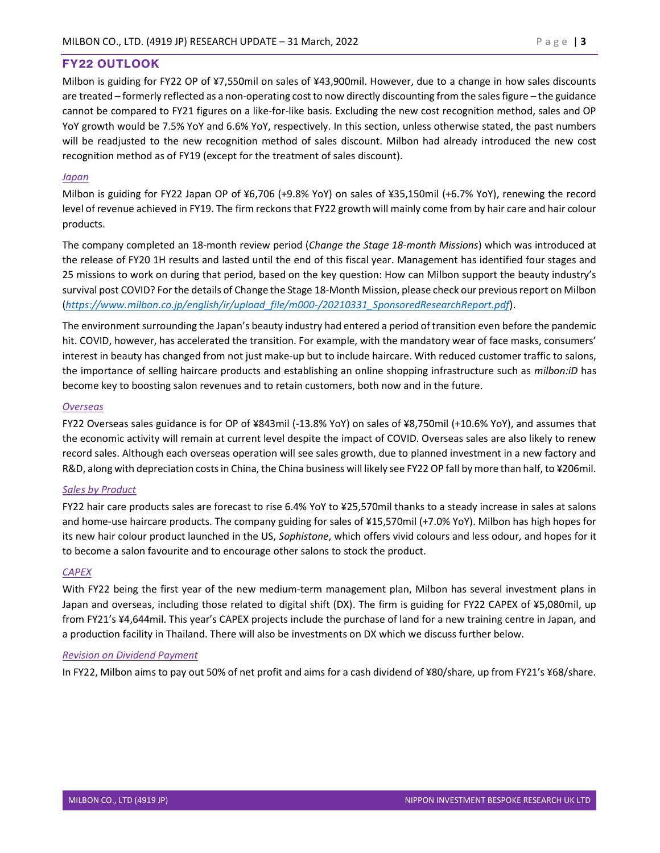# FY22 OUTLOOK

Milbon is guiding for FY22 OP of ¥7,550mil on sales of ¥43,900mil. However, due to a change in how sales discounts are treated – formerly reflected as a non-operating cost to now directly discounting from the sales figure – the guidance cannot be compared to FY21 figures on a like-for-like basis. Excluding the new cost recognition method, sales and OP YoY growth would be 7.5% YoY and 6.6% YoY, respectively. In this section, unless otherwise stated, the past numbers will be readjusted to the new recognition method of sales discount. Milbon had already introduced the new cost recognition method as of FY19 (except for the treatment of sales discount).

## Japan

Milbon is guiding for FY22 Japan OP of ¥6,706 (+9.8% YoY) on sales of ¥35,150mil (+6.7% YoY), renewing the record level of revenue achieved in FY19. The firm reckons that FY22 growth will mainly come from by hair care and hair colour products.

The company completed an 18-month review period (Change the Stage 18-month Missions) which was introduced at the release of FY20 1H results and lasted until the end of this fiscal year. Management has identified four stages and 25 missions to work on during that period, based on the key question: How can Milbon support the beauty industry's survival post COVID? For the details of Change the Stage 18-Month Mission, please check our previous report on Milbon (https://www.milbon.co.jp/english/ir/upload\_file/m000-/20210331\_SponsoredResearchReport.pdf).

The environment surrounding the Japan's beauty industry had entered a period of transition even before the pandemic hit. COVID, however, has accelerated the transition. For example, with the mandatory wear of face masks, consumers' interest in beauty has changed from not just make-up but to include haircare. With reduced customer traffic to salons, the importance of selling haircare products and establishing an online shopping infrastructure such as *milbon:iD* has become key to boosting salon revenues and to retain customers, both now and in the future.

## **Overseas**

FY22 Overseas sales guidance is for OP of ¥843mil (-13.8% YoY) on sales of ¥8,750mil (+10.6% YoY), and assumes that the economic activity will remain at current level despite the impact of COVID. Overseas sales are also likely to renew record sales. Although each overseas operation will see sales growth, due to planned investment in a new factory and R&D, along with depreciation costs in China, the China business will likely see FY22 OP fall by more than half, to ¥206mil.

## Sales by Product

FY22 hair care products sales are forecast to rise 6.4% YoY to ¥25,570mil thanks to a steady increase in sales at salons and home-use haircare products. The company guiding for sales of ¥15,570mil (+7.0% YoY). Milbon has high hopes for its new hair colour product launched in the US, Sophistone, which offers vivid colours and less odour, and hopes for it to become a salon favourite and to encourage other salons to stock the product.

## **CAPEX**

With FY22 being the first year of the new medium-term management plan, Milbon has several investment plans in Japan and overseas, including those related to digital shift (DX). The firm is guiding for FY22 CAPEX of ¥5,080mil, up from FY21's ¥4,644mil. This year's CAPEX projects include the purchase of land for a new training centre in Japan, and a production facility in Thailand. There will also be investments on DX which we discuss further below.

#### Revision on Dividend Payment

In FY22, Milbon aims to pay out 50% of net profit and aims for a cash dividend of ¥80/share, up from FY21's ¥68/share.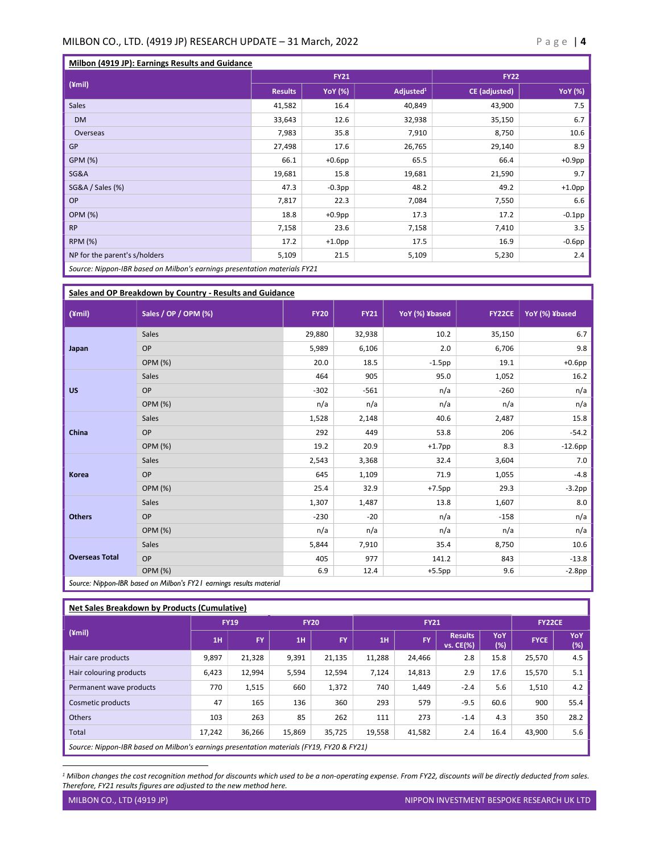#### MILBON CO., LTD. (4919 JP) RESEARCH UPDATE – 31 March, 2022  $P a g e | 4$

| Milbon (4919 JP): Earnings Results and Guidance                           |                |                |                       |                      |                |
|---------------------------------------------------------------------------|----------------|----------------|-----------------------|----------------------|----------------|
| $(\text{ymi})$                                                            | <b>FY21</b>    |                |                       | <b>FY22</b>          |                |
|                                                                           | <b>Results</b> | <b>YoY</b> (%) | Adjusted <sup>1</sup> | <b>CE</b> (adjusted) | <b>YoY</b> (%) |
| <b>Sales</b>                                                              | 41,582         | 16.4           | 40,849                | 43,900               | 7.5            |
| <b>DM</b>                                                                 | 33,643         | 12.6           | 32,938                | 35,150               | 6.7            |
| Overseas                                                                  | 7,983          | 35.8           | 7,910                 | 8,750                | 10.6           |
| GP                                                                        | 27,498         | 17.6           | 26,765                | 29,140               | 8.9            |
| GPM (%)                                                                   | 66.1           | $+0.6$ pp      | 65.5                  | 66.4                 | $+0.9$ pp      |
| SG&A                                                                      | 19,681         | 15.8           | 19,681                | 21,590               | 9.7            |
| SG&A / Sales (%)                                                          | 47.3           | $-0.3$ pp      | 48.2                  | 49.2                 | $+1.0$ pp      |
| OP                                                                        | 7,817          | 22.3           | 7,084                 | 7,550                | 6.6            |
| <b>OPM (%)</b>                                                            | 18.8           | $+0.9$ pp      | 17.3                  | 17.2                 | $-0.1$ pp      |
| <b>RP</b>                                                                 | 7,158          | 23.6           | 7,158                 | 7,410                | 3.5            |
| <b>RPM (%)</b>                                                            | 17.2           | $+1.0$ pp      | 17.5                  | 16.9                 | $-0.6$ pp      |
| NP for the parent's s/holders                                             | 5,109          | 21.5           | 5,109                 | 5,230                | 2.4            |
| Source: Nippon-IBR based on Milbon's earnings presentation materials FY21 |                |                |                       |                      |                |

Sales and OP Breakdown by Country - Results and Guidance (¥mil) Sales / OP / OPM (%) FY20 FY21 YoY (%) ¥based FY22CE YoY (%) ¥based Japan Sales 29,880 32,938 10.2 35,150 6.7  $OP$  5,989 6,106 2.0 6,706 5,706 9.8 OPM (%) 20.0 18.5 -1.5pp 19.1 +0.6pp US  $Sales$   $1,052$   $16.2$ OP  $-302$   $-561$   $n/a$   $-260$   $n/a$ OPM (%) n/a n/a n/a n/a n/a China Sales 1,528 2,148  $\vert$  2,487  $\vert$  2,487 15.8  $OP$  292 449 53.8 206 53.8 206 53.8 OPM (%) 19.2 20.9 +1.7pp 8.3 -12.6pp -12.6pp Korea  $\textsf{Sales} \quad \textcolor{red}{2.543} \quad \textcolor{red}{2.543} \quad \textcolor{red}{3.368} \quad \textcolor{red}{3.364} \quad \textcolor{red}{3.3604} \quad \textcolor{red}{3.3604} \quad \textcolor{red}{7.05} \quad \textcolor{red}{7.05} \quad \textcolor{red}{7.05} \quad \textcolor{red}{7.05} \quad \textcolor{red}{7.05} \quad \textcolor{red}{7.05} \quad \textcolor{red}{7.05} \quad \textcolor{red}{7.05} \quad \textcolor{red}{7.05} \quad \textcolor{red}{7.$  $OP$  645  $1,109$  71.9  $1,055$   $-4.8$ OPM (%) 25.4 32.9 +7.5pp 29.3 -3.2pp **Others** Sales 1,307 1,487 13.8 1,607 8.0 OP  $-230$   $-20$   $n/a$   $-158$   $n/a$ OPM (%) n/a n/a n/a n/a n/a Overseas Total  $S$ ales 5,844 7,910 35.4 8,750 35.4 8,750 36.6 36.4  $\,$ OP 141.2 843 -13.8 OPM (%) 6.9 12.4 +5.5pp 9.6 -2.8pp Source: Nippon-IBR based on Milbon's FY21 earnings results material

Net Sales Breakdown by Products (Cumulative) (¥mil) FY19 FY20 FY21 FY22CE  $1H$  FY  $1H$  FY  $1H$  FY  $F$  Results vs. CE(%) YoY /0Y | FYCE | <sup>YoY</sup><br>(%) FYCE | (%) (%) Hair care products 9,897 21,328 9,391 21,135 11,288 24,466 2.8 15.8 25,570 4.5 Hair colouring products 6,423 12,994 5,594 12,594 7,124 14,813 2.9 17.6 15,570 5.1 Permanent wave products 770 1,515 660 1,372 740 1,449 -2.4 5.6 1,510 4.2 Cosmetic products 47 165 136 360 293 579 -9.5 60.6 900 55.4 Others 103 263 85 262 111 273 -1.4 4.3 350 28.2 Total 17,242 36,266 15,869 35,725 19,558 41,582 2.4 16.4 43,900 5.6 Source: Nippon-IBR based on Milbon's earnings presentation materials (FY19, FY20 & FY21)

<sup>&</sup>lt;sup>1</sup> Milbon changes the cost recognition method for discounts which used to be a non-operating expense. From FY22, discounts will be directly deducted from sales. Therefore, FY21 results figures are adjusted to the new method here.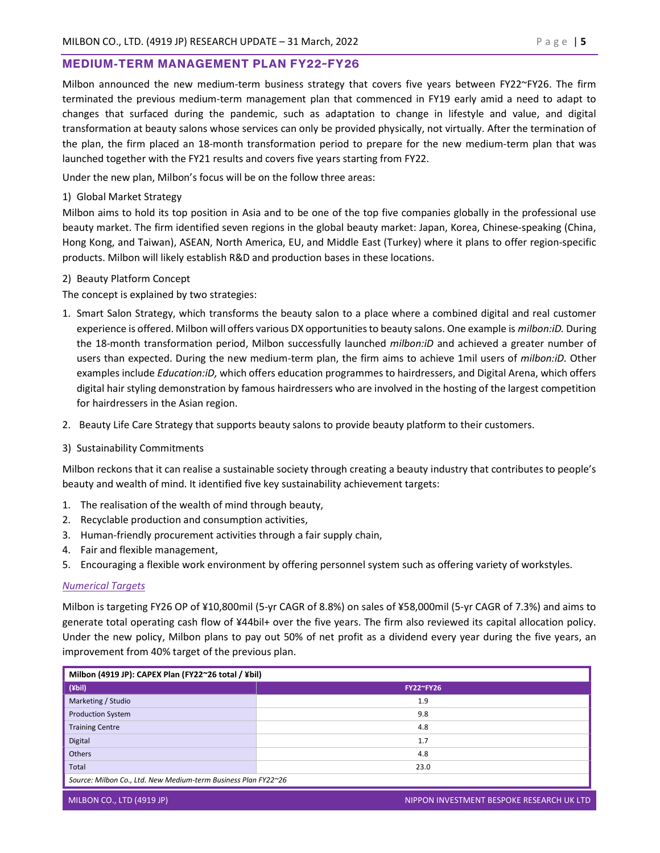## MEDIUM-TERM MANAGEMENT PLAN FY22~FY26

Milbon announced the new medium-term business strategy that covers five years between FY22~FY26. The firm terminated the previous medium-term management plan that commenced in FY19 early amid a need to adapt to changes that surfaced during the pandemic, such as adaptation to change in lifestyle and value, and digital transformation at beauty salons whose services can only be provided physically, not virtually. After the termination of the plan, the firm placed an 18-month transformation period to prepare for the new medium-term plan that was launched together with the FY21 results and covers five years starting from FY22.

Under the new plan, Milbon's focus will be on the follow three areas:

1) Global Market Strategy

Milbon aims to hold its top position in Asia and to be one of the top five companies globally in the professional use beauty market. The firm identified seven regions in the global beauty market: Japan, Korea, Chinese-speaking (China, Hong Kong, and Taiwan), ASEAN, North America, EU, and Middle East (Turkey) where it plans to offer region-specific products. Milbon will likely establish R&D and production bases in these locations.

## 2) Beauty Platform Concept

The concept is explained by two strategies:

- 1. Smart Salon Strategy, which transforms the beauty salon to a place where a combined digital and real customer experience is offered. Milbon will offers various DX opportunities to beauty salons. One example is *milbon:iD*. During the 18-month transformation period, Milbon successfully launched milbon: iD and achieved a greater number of users than expected. During the new medium-term plan, the firm aims to achieve 1mil users of milbon:iD. Other examples include Education:iD, which offers education programmes to hairdressers, and Digital Arena, which offers digital hair styling demonstration by famous hairdressers who are involved in the hosting of the largest competition for hairdressers in the Asian region.
- 2. Beauty Life Care Strategy that supports beauty salons to provide beauty platform to their customers.
- 3) Sustainability Commitments

Milbon reckons that it can realise a sustainable society through creating a beauty industry that contributes to people's beauty and wealth of mind. It identified five key sustainability achievement targets:

- 1. The realisation of the wealth of mind through beauty,
- 2. Recyclable production and consumption activities,
- 3. Human-friendly procurement activities through a fair supply chain,
- 4. Fair and flexible management,
- 5. Encouraging a flexible work environment by offering personnel system such as offering variety of workstyles.

#### Numerical Targets

Milbon is targeting FY26 OP of ¥10,800mil (5-yr CAGR of 8.8%) on sales of ¥58,000mil (5-yr CAGR of 7.3%) and aims to generate total operating cash flow of ¥44bil+ over the five years. The firm also reviewed its capital allocation policy. Under the new policy, Milbon plans to pay out 50% of net profit as a dividend every year during the five years, an improvement from 40% target of the previous plan.

| Milbon (4919 JP): CAPEX Plan (FY22~26 total / ¥bil)            |                  |  |  |  |
|----------------------------------------------------------------|------------------|--|--|--|
| $(\n\sqrt{2}$                                                  | <b>FY22~FY26</b> |  |  |  |
| Marketing / Studio                                             | 1.9              |  |  |  |
| <b>Production System</b>                                       | 9.8              |  |  |  |
| <b>Training Centre</b>                                         | 4.8              |  |  |  |
| Digital                                                        | 1.7              |  |  |  |
| Others                                                         | 4.8              |  |  |  |
| Total                                                          | 23.0             |  |  |  |
| Source: Milbon Co., Ltd. New Medium-term Business Plan FY22~26 |                  |  |  |  |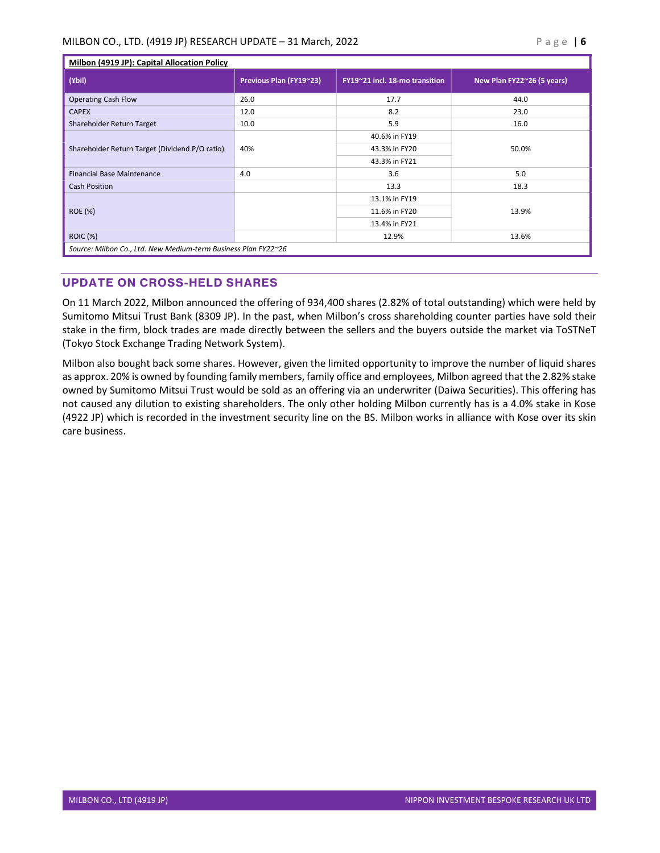| Milbon (4919 JP): Capital Allocation Policy                    |                         |                                |                            |  |  |  |
|----------------------------------------------------------------|-------------------------|--------------------------------|----------------------------|--|--|--|
| $(\n\psi$                                                      | Previous Plan (FY19~23) | FY19~21 incl. 18-mo transition | New Plan FY22~26 (5 years) |  |  |  |
| <b>Operating Cash Flow</b>                                     | 26.0                    | 17.7                           | 44.0                       |  |  |  |
| <b>CAPEX</b>                                                   | 12.0                    | 8.2                            | 23.0                       |  |  |  |
| Shareholder Return Target                                      | 10.0                    | 5.9                            | 16.0                       |  |  |  |
| Shareholder Return Target (Dividend P/O ratio)                 | 40%                     | 40.6% in FY19                  | 50.0%                      |  |  |  |
|                                                                |                         | 43.3% in FY20                  |                            |  |  |  |
|                                                                |                         | 43.3% in FY21                  |                            |  |  |  |
| <b>Financial Base Maintenance</b>                              | 4.0                     | 3.6                            | 5.0                        |  |  |  |
| <b>Cash Position</b>                                           |                         | 13.3                           | 18.3                       |  |  |  |
| <b>ROE (%)</b>                                                 |                         | 13.1% in FY19                  | 13.9%                      |  |  |  |
|                                                                |                         | 11.6% in FY20                  |                            |  |  |  |
|                                                                |                         | 13.4% in FY21                  |                            |  |  |  |
| <b>ROIC (%)</b>                                                |                         | 12.9%                          | 13.6%                      |  |  |  |
| Source: Milbon Co., Ltd. New Medium-term Business Plan FY22~26 |                         |                                |                            |  |  |  |

# UPDATE ON CROSS-HELD SHARES

On 11 March 2022, Milbon announced the offering of 934,400 shares (2.82% of total outstanding) which were held by Sumitomo Mitsui Trust Bank (8309 JP). In the past, when Milbon's cross shareholding counter parties have sold their stake in the firm, block trades are made directly between the sellers and the buyers outside the market via ToSTNeT (Tokyo Stock Exchange Trading Network System).

Milbon also bought back some shares. However, given the limited opportunity to improve the number of liquid shares as approx. 20% is owned by founding family members, family office and employees, Milbon agreed that the 2.82% stake owned by Sumitomo Mitsui Trust would be sold as an offering via an underwriter (Daiwa Securities). This offering has not caused any dilution to existing shareholders. The only other holding Milbon currently has is a 4.0% stake in Kose (4922 JP) which is recorded in the investment security line on the BS. Milbon works in alliance with Kose over its skin care business.